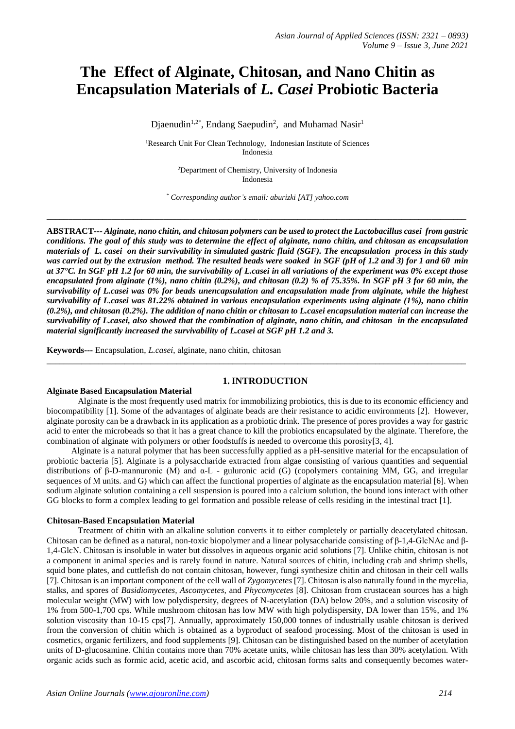# **The Effect of Alginate, Chitosan, and Nano Chitin as Encapsulation Materials of** *L. Casei* **Probiotic Bacteria**

Djaenudin<sup>1,2\*</sup>, Endang Saepudin<sup>2</sup>, and Muhamad Nasir<sup>1</sup>

<sup>1</sup>Research Unit For Clean Technology, Indonesian Institute of Sciences Indonesia

> <sup>2</sup>Department of Chemistry, University of Indonesia Indonesia

*\* Corresponding author's email: aburizki [AT] yahoo.com*

**\_\_\_\_\_\_\_\_\_\_\_\_\_\_\_\_\_\_\_\_\_\_\_\_\_\_\_\_\_\_\_\_\_\_\_\_\_\_\_\_\_\_\_\_\_\_\_\_\_\_\_\_\_\_\_\_\_\_\_\_\_\_\_\_\_\_\_\_\_\_\_\_\_\_\_\_\_\_\_\_\_\_\_\_\_\_\_\_\_\_\_\_\_\_\_\_\_**

**ABSTRACT---** *Alginate, nano chitin, and chitosan polymers can be used to protect the Lactobacillus casei from gastric conditions. The goal of this study was to determine the effect of alginate, nano chitin, and chitosan as encapsulation materials of L. casei on their survivability in simulated gastric fluid (SGF). The encapsulation process in this study was carried out by the extrusion method. The resulted beads were soaked in SGF (pH of 1.2 and 3) for 1 and 60 min at 37°C. In SGF pH 1.2 for 60 min, the survivability of L.casei in all variations of the experiment was 0% except those encapsulated from alginate (1%), nano chitin (0.2%), and chitosan (0.2) % of 75.35%. In SGF pH 3 for 60 min, the survivability of L.casei was 0% for beads unencapsulation and encapsulation made from alginate, while the highest survivability of L.casei was 81.22% obtained in various encapsulation experiments using alginate (1%), nano chitin (0.2%), and chitosan (0.2%). The addition of nano chitin or chitosan to L.casei encapsulation material can increase the survivability of L.casei, also showed that the combination of alginate, nano chitin, and chitosan in the encapsulated material significantly increased the survivability of L.casei at SGF pH 1.2 and 3.*

**Keywords---** Encapsulation, *L.casei*, alginate, nano chitin, chitosan

# **1.INTRODUCTION**

\_\_\_\_\_\_\_\_\_\_\_\_\_\_\_\_\_\_\_\_\_\_\_\_\_\_\_\_\_\_\_\_\_\_\_\_\_\_\_\_\_\_\_\_\_\_\_\_\_\_\_\_\_\_\_\_\_\_\_\_\_\_\_\_\_\_\_\_\_\_\_\_\_\_\_\_\_\_\_\_\_\_\_\_\_\_\_\_\_\_\_\_\_\_\_\_\_

#### **Alginate Based Encapsulation Material**

Alginate is the most frequently used matrix for immobilizing probiotics, this is due to its economic efficiency and biocompatibility [1]. Some of the advantages of alginate beads are their resistance to acidic environments [2]. However, alginate porosity can be a drawback in its application as a probiotic drink. The presence of pores provides a way for gastric acid to enter the microbeads so that it has a great chance to kill the probiotics encapsulated by the alginate. Therefore, the combination of alginate with polymers or other foodstuffs is needed to overcome this porosity[3, 4].

Alginate is a natural polymer that has been successfully applied as a pH-sensitive material for the encapsulation of probiotic bacteria [5]. Alginate is a polysaccharide extracted from algae consisting of various quantities and sequential distributions of β-D-mannuronic (M) and α-L - guluronic acid (G) (copolymers containing MM, GG, and irregular sequences of M units. and G) which can affect the functional properties of alginate as the encapsulation material [6]. When sodium alginate solution containing a cell suspension is poured into a calcium solution, the bound ions interact with other GG blocks to form a complex leading to gel formation and possible release of cells residing in the intestinal tract [1].

#### **Chitosan-Based Encapsulation Material**

Treatment of chitin with an alkaline solution converts it to either completely or partially deacetylated chitosan. Chitosan can be defined as a natural, non-toxic biopolymer and a linear polysaccharide consisting of β-1,4-GlcNAc and β-1,4-GlcN. Chitosan is insoluble in water but dissolves in aqueous organic acid solutions [7]. Unlike chitin, chitosan is not a component in animal species and is rarely found in nature. Natural sources of chitin, including crab and shrimp shells, squid bone plates, and cuttlefish do not contain chitosan, however, fungi synthesize chitin and chitosan in their cell walls [7]. Chitosan is an important component of the cell wall of *Zygomycetes* [7]. Chitosan is also naturally found in the mycelia, stalks, and spores of *Basidiomycetes, Ascomycetes*, and *Phycomycetes* [8]. Chitosan from crustacean sources has a high molecular weight (MW) with low polydispersity, degrees of N-acetylation (DA) below 20%, and a solution viscosity of 1% from 500-1,700 cps. While mushroom chitosan has low MW with high polydispersity, DA lower than 15%, and 1% solution viscosity than 10-15 cps[7]. Annually, approximately 150,000 tonnes of industrially usable chitosan is derived from the conversion of chitin which is obtained as a byproduct of seafood processing. Most of the chitosan is used in cosmetics, organic fertilizers, and food supplements [9]. Chitosan can be distinguished based on the number of acetylation units of D-glucosamine. Chitin contains more than 70% acetate units, while chitosan has less than 30% acetylation. With organic acids such as formic acid, acetic acid, and ascorbic acid, chitosan forms salts and consequently becomes water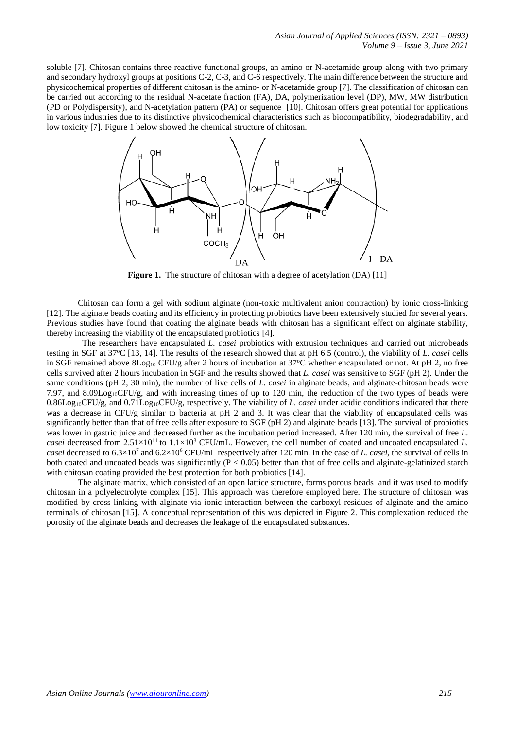soluble [7]. Chitosan contains three reactive functional groups, an amino or N-acetamide group along with two primary and secondary hydroxyl groups at positions C-2, C-3, and C-6 respectively. The main difference between the structure and physicochemical properties of different chitosan is the amino- or N-acetamide group [7]. The classification of chitosan can be carried out according to the residual N-acetate fraction (FA), DA, polymerization level (DP), MW, MW distribution (PD or Polydispersity), and N-acetylation pattern (PA) or sequence [10]. Chitosan offers great potential for applications in various industries due to its distinctive physicochemical characteristics such as biocompatibility, biodegradability, and low toxicity [7]. Figure 1 below showed the chemical structure of chitosan.



**Figure 1.** The structure of chitosan with a degree of acetylation (DA) [11]

Chitosan can form a gel with sodium alginate (non-toxic multivalent anion contraction) by ionic cross-linking [12]. The alginate beads coating and its efficiency in protecting probiotics have been extensively studied for several years. Previous studies have found that coating the alginate beads with chitosan has a significant effect on alginate stability, thereby increasing the viability of the encapsulated probiotics [4].

 The researchers have encapsulated *L. casei* probiotics with extrusion techniques and carried out microbeads testing in SGF at 37<sup>o</sup>C [13, 14]. The results of the research showed that at pH 6.5 (control), the viability of *L. casei* cells in SGF remained above  $8\text{Log}_{10}$  CFU/g after 2 hours of incubation at 37°C whether encapsulated or not. At pH 2, no free cells survived after 2 hours incubation in SGF and the results showed that *L. casei* was sensitive to SGF (pH 2). Under the same conditions (pH 2, 30 min), the number of live cells of *L. casei* in alginate beads, and alginate-chitosan beads were 7.97, and 8.09Log<sub>10</sub>CFU/g, and with increasing times of up to 120 min, the reduction of the two types of beads were 0.86Log10CFU/g, and 0.71Log10CFU/g, respectively. The viability of *L. casei* under acidic conditions indicated that there was a decrease in CFU/g similar to bacteria at pH 2 and 3. It was clear that the viability of encapsulated cells was significantly better than that of free cells after exposure to SGF (pH 2) and alginate beads [13]. The survival of probiotics was lower in gastric juice and decreased further as the incubation period increased. After 120 min, the survival of free *L. casei* decreased from  $2.51 \times 10^{11}$  to  $1.1 \times 10^{3}$  CFU/mL. However, the cell number of coated and uncoated encapsulated *L*. *casei* decreased to 6.3×10<sup>7</sup> and 6.2×10<sup>6</sup> CFU/mL respectively after 120 min. In the case of *L. casei,* the survival of cells in both coated and uncoated beads was significantly  $(P < 0.05)$  better than that of free cells and alginate-gelatinized starch with chitosan coating provided the best protection for both probiotics [14].

The alginate matrix, which consisted of an open lattice structure, forms porous beads and it was used to modify chitosan in a polyelectrolyte complex [15]. This approach was therefore employed here. The structure of chitosan was modified by cross-linking with alginate via ionic interaction between the carboxyl residues of alginate and the amino terminals of chitosan [15]. A conceptual representation of this was depicted in Figure 2. This complexation reduced the porosity of the alginate beads and decreases the leakage of the encapsulated substances.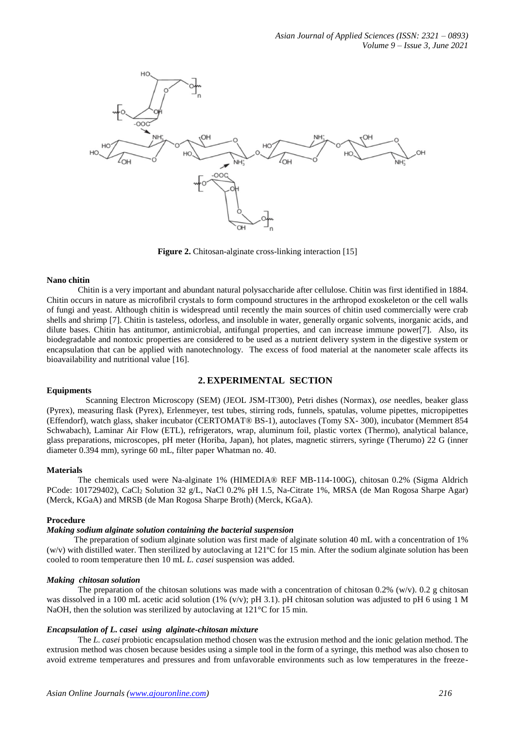

**Figure 2.** Chitosan-alginate cross-linking interaction [15]

#### **Nano chitin**

Chitin is a very important and abundant natural polysaccharide after cellulose. Chitin was first identified in 1884. Chitin occurs in nature as microfibril crystals to form compound structures in the arthropod exoskeleton or the cell walls of fungi and yeast. Although chitin is widespread until recently the main sources of chitin used commercially were crab shells and shrimp [7]. Chitin is tasteless, odorless, and insoluble in water, generally organic solvents, inorganic acids, and dilute bases. Chitin has antitumor, antimicrobial, antifungal properties, and can increase immune power[7]. Also, its biodegradable and nontoxic properties are considered to be used as a nutrient delivery system in the digestive system or encapsulation that can be applied with nanotechnology. The excess of food material at the nanometer scale affects its bioavailability and nutritional value [16].

# **2. EXPERIMENTAL SECTION**

#### **Equipments**

Scanning Electron Microscopy (SEM) (JEOL JSM-IT300), Petri dishes (Normax), *ose* needles, beaker glass (Pyrex), measuring flask (Pyrex), Erlenmeyer, test tubes, stirring rods, funnels, spatulas, volume pipettes, micropipettes (Effendorf), watch glass, shaker incubator (CERTOMAT® BS-1), autoclaves (Tomy SX- 300), incubator (Memmert 854 Schwabach), Laminar Air Flow (ETL), refrigerators, wrap, aluminum foil, plastic vortex (Thermo), analytical balance, glass preparations, microscopes, pH meter (Horiba, Japan), hot plates, magnetic stirrers, syringe (Therumo) 22 G (inner diameter 0.394 mm), syringe 60 mL, filter paper Whatman no. 40.

#### **Materials**

The chemicals used were Na-alginate 1% (HIMEDIA® REF MB-114-100G), chitosan 0.2% (Sigma Aldrich PCode: 101729402), CaCl<sub>2</sub> Solution 32 g/L, NaCl 0.2% pH 1.5, Na-Citrate 1%, MRSA (de Man Rogosa Sharpe Agar) (Merck, KGaA) and MRSB (de Man Rogosa Sharpe Broth) (Merck, KGaA).

#### **Procedure**

## *Making sodium alginate solution containing the bacterial suspension*

The preparation of sodium alginate solution was first made of alginate solution 40 mL with a concentration of 1%  $(w/v)$  with distilled water. Then sterilized by autoclaving at 121 $^{\circ}$ C for 15 min. After the sodium alginate solution has been cooled to room temperature then 10 mL *L. casei* suspension was added.

#### *Making chitosan solution*

The preparation of the chitosan solutions was made with a concentration of chitosan  $0.2\%$  (w/v).  $0.2$  g chitosan was dissolved in a 100 mL acetic acid solution (1% (v/v); pH 3.1). pH chitosan solution was adjusted to pH 6 using 1 M NaOH, then the solution was sterilized by autoclaving at 121<sup>o</sup>C for 15 min.

## *Encapsulation of L. casei using alginate-chitosan mixture*

The *L. casei* probiotic encapsulation method chosen was the extrusion method and the ionic gelation method. The extrusion method was chosen because besides using a simple tool in the form of a syringe, this method was also chosen to avoid extreme temperatures and pressures and from unfavorable environments such as low temperatures in the freeze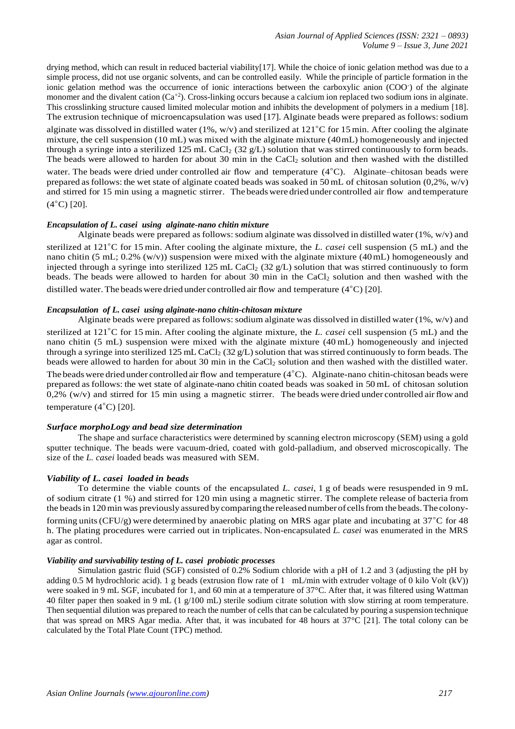drying method, which can result in reduced bacterial viability[17]. While the choice of ionic gelation method was due to a simple process, did not use organic solvents, and can be controlled easily. While the principle of particle formation in the ionic gelation method was the occurrence of ionic interactions between the carboxylic anion (COO- ) of the alginate monomer and the divalent cation  $(Ca^{2})$ . Cross-linking occurs because a calcium ion replaced two sodium ions in alginate. This crosslinking structure caused limited molecular motion and inhibits the development of polymers in a medium [18]. The extrusion technique of microencapsulation was used [17]. Alginate beads were prepared as follows: sodium alginate was dissolved in distilled water (1%, w/v) and sterilized at 121◦C for 15 min. After cooling the alginate mixture, the cell suspension (10 mL) was mixed with the alginate mixture (40mL) homogeneously and injected through a syringe into a sterilized 125 mL CaCl<sub>2</sub> (32 g/L) solution that was stirred continuously to form beads. The beads were allowed to harden for about 30 min in the CaCl<sub>2</sub> solution and then washed with the distilled water. The beads were dried under controlled air flow and temperature (4◦C). Alginate–chitosan beads were prepared as follows: the wet state of alginate coated beads was soaked in 50 mL of chitosan solution  $(0,2\%, w/v)$ and stirred for 15 min using a magnetic stirrer. The beadswere dried under controlled air flow and temperature  $(4^{\circ}C)$  [20].

#### *Encapsulation of L. casei using alginate-nano chitin mixture*

Alginate beads were prepared as follows: sodium alginate was dissolved in distilled water (1%,  $w/v$ ) and sterilized at 121◦C for 15 min. After cooling the alginate mixture, the *L. casei* cell suspension (5 mL) and the nano chitin (5 mL; 0.2% (w/v)) suspension were mixed with the alginate mixture (40mL) homogeneously and injected through a syringe into sterilized 125 mL CaCl<sub>2</sub> (32 g/L) solution that was stirred continuously to form beads. The beads were allowed to harden for about 30 min in the CaCl<sub>2</sub> solution and then washed with the distilled water. The beads were dried under controlled air flow and temperature  $(4°C)$  [20].

## *Encapsulation of L. casei using alginate-nano chitin-chitosan mixture*

Alginate beads were prepared as follows: sodium alginate was dissolved in distilled water (1%,  $w/v$ ) and sterilized at 121◦C for 15 min. After cooling the alginate mixture, the *L. casei* cell suspension (5 mL) and the nano chitin (5 mL) suspension were mixed with the alginate mixture (40 mL) homogeneously and injected through a syringe into sterilized 125 mL CaCl<sub>2</sub> (32 g/L) solution that was stirred continuously to form beads. The beads were allowed to harden for about 30 min in the CaCl<sub>2</sub> solution and then washed with the distilled water. The beadswere dried under controlled air flow and temperature (4◦C). Alginate-nano chitin-chitosan beads were prepared as follows: the wet state of alginate-nano chitin coated beads was soaked in 50 mL of chitosan solution  $0.2\%$  (w/v) and stirred for 15 min using a magnetic stirrer. The beads were dried under controlled air flow and temperature (4◦C) [20].

# *Surface morphoLogy and bead size determination*

The shape and surface characteristics were determined by scanning electron microscopy (SEM) using a gold sputter technique. The beads were vacuum-dried, coated with gold-palladium, and observed microscopically. The size of the *L. casei* loaded beads was measured with SEM.

# *Viability of L. casei loaded in beads*

To determine the viable counts of the encapsulated *L. casei*, 1 g of beads were resuspended in 9 mL of sodium citrate (1 %) and stirred for 120 min using a magnetic stirrer. The complete release of bacteria from the beads in 120 min was previously assured by comparing the released number of cells from the beads. The colony-

forming units(CFU/g) were determined by anaerobic plating on MRS agar plate and incubating at 37◦C for 48 h. The plating procedures were carried out in triplicates. Non-encapsulated *L. casei* was enumerated in the MRS agar as control.

#### *Viability and survivability testing of L. casei probiotic processes*

Simulation gastric fluid (SGF) consisted of 0.2% Sodium chloride with a pH of 1.2 and 3 (adjusting the pH by adding 0.5 M hydrochloric acid). 1 g beads (extrusion flow rate of 1 mL/min with extruder voltage of 0 kilo Volt (kV)) were soaked in 9 mL SGF, incubated for 1, and 60 min at a temperature of 37°C. After that, it was filtered using Wattman 40 filter paper then soaked in 9 mL (1 g/100 mL) sterile sodium citrate solution with slow stirring at room temperature. Then sequential dilution was prepared to reach the number of cells that can be calculated by pouring a suspension technique that was spread on MRS Agar media. After that, it was incubated for 48 hours at 37°C [21]. The total colony can be calculated by the Total Plate Count (TPC) method.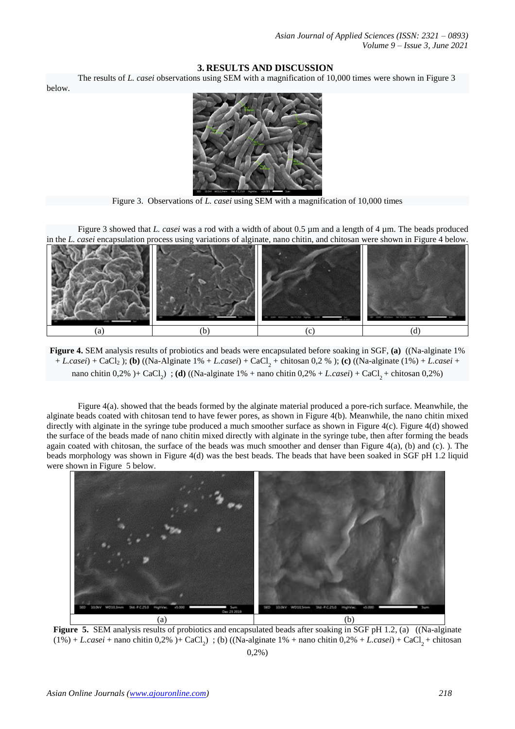# **3. RESULTS AND DISCUSSION**

The results of *L. casei* observations using SEM with a magnification of 10,000 times were shown in Figure 3

below.



Figure 3. Observations of *L. casei* using SEM with a magnification of 10,000 times

Figure 3 showed that *L. casei* was a rod with a width of about 0.5  $\mu$ m and a length of 4  $\mu$ m. The beads produced in the *L. casei* encapsulation process using variations of alginate, nano chitin, and chitosan were shown in Figure 4 below.



**Figure 4.** SEM analysis results of probiotics and beads were encapsulated before soaking in SGF, **(a)** ((Na-alginate 1% + *L.casei*) + CaCl<sub>2</sub>); **(b)** ((Na-Alginate 1% + *L.casei*) + CaCl<sub>2</sub> + chitosan 0,2 %); **(c)** ((Na-alginate (1%) + *L.casei* + nano chitin 0,2% )+ CaCl<sub>2</sub> (**d**) ((Na-alginate 1% + nano chitin 0,2% + *L.casei*) + CaCl<sub>2</sub> + chitosan 0,2%)

Figure 4(a). showed that the beads formed by the alginate material produced a pore-rich surface. Meanwhile, the alginate beads coated with chitosan tend to have fewer pores, as shown in Figure 4(b). Meanwhile, the nano chitin mixed directly with alginate in the syringe tube produced a much smoother surface as shown in Figure 4(c). Figure 4(d) showed the surface of the beads made of nano chitin mixed directly with alginate in the syringe tube, then after forming the beads again coated with chitosan, the surface of the beads was much smoother and denser than Figure  $4(a)$ , (b) and (c). ). The beads morphology was shown in Figure 4(d) was the best beads. The beads that have been soaked in SGF pH 1.2 liquid were shown in Figure 5 below.



**Figure 5.** SEM analysis results of probiotics and encapsulated beads after soaking in SGF pH 1.2, (a) ((Na-alginate  $(1\%) + L.casei +$  nano chitin 0,2%  $)+$  CaCl<sub>2</sub>  $\;$ ; (b) ((Na-alginate 1% + nano chitin 0,2% + *L.casei*) + CaCl<sub>2</sub> + chitosan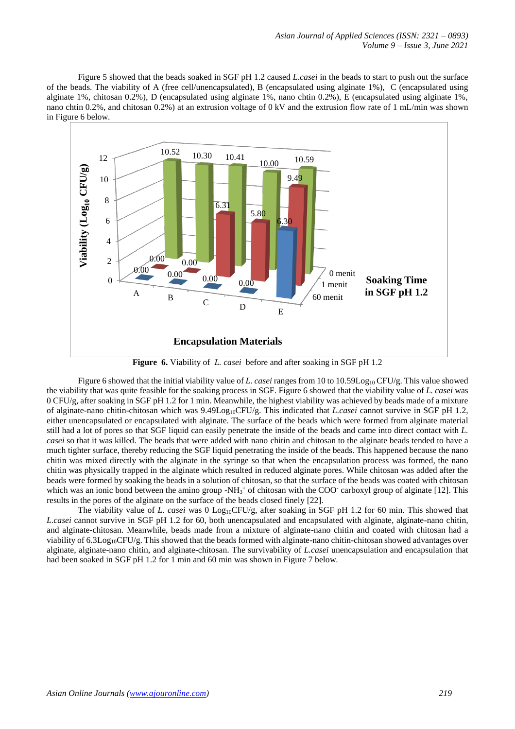Figure 5 showed that the beads soaked in SGF pH 1.2 caused *L.casei* in the beads to start to push out the surface of the beads. The viability of A (free cell/unencapsulated), B (encapsulated using alginate 1%), C (encapsulated using alginate 1%, chitosan 0.2%), D (encapsulated using alginate 1%, nano chtin 0.2%), E (encapsulated using alginate 1%, nano chtin 0.2%, and chitosan 0.2%) at an extrusion voltage of 0 kV and the extrusion flow rate of 1 mL/min was shown in Figure 6 below.



**Figure 6.** Viability of *L. casei* before and after soaking in SGF pH 1.2

Figure 6 showed that the initial viability value of *L. casei* ranges from 10 to 10.59Log<sub>10</sub> CFU/g. This value showed the viability that was quite feasible for the soaking process in SGF. Figure 6 showed that the viability value of *L. casei* was 0 CFU/g, after soaking in SGF pH 1.2 for 1 min. Meanwhile, the highest viability was achieved by beads made of a mixture of alginate-nano chitin-chitosan which was 9.49Log10CFU/g. This indicated that *L.casei* cannot survive in SGF pH 1.2, either unencapsulated or encapsulated with alginate. The surface of the beads which were formed from alginate material still had a lot of pores so that SGF liquid can easily penetrate the inside of the beads and came into direct contact with *L. casei* so that it was killed. The beads that were added with nano chitin and chitosan to the alginate beads tended to have a much tighter surface, thereby reducing the SGF liquid penetrating the inside of the beads. This happened because the nano chitin was mixed directly with the alginate in the syringe so that when the encapsulation process was formed, the nano chitin was physically trapped in the alginate which resulted in reduced alginate pores. While chitosan was added after the beads were formed by soaking the beads in a solution of chitosan, so that the surface of the beads was coated with chitosan which was an ionic bond between the amino group -NH $_3$ <sup>+</sup> of chitosan with the COO<sup>-</sup> carboxyl group of alginate [12]. This results in the pores of the alginate on the surface of the beads closed finely [22].

The viability value of *L. casei* was 0 Log10CFU/g, after soaking in SGF pH 1.2 for 60 min. This showed that *L.casei* cannot survive in SGF pH 1.2 for 60, both unencapsulated and encapsulated with alginate, alginate-nano chitin, and alginate-chitosan. Meanwhile, beads made from a mixture of alginate-nano chitin and coated with chitosan had a viability of 6.3Log<sub>10</sub>CFU/g. This showed that the beads formed with alginate-nano chitin-chitosan showed advantages over alginate, alginate-nano chitin, and alginate-chitosan. The survivability of *L.casei* unencapsulation and encapsulation that had been soaked in SGF pH 1.2 for 1 min and 60 min was shown in Figure 7 below.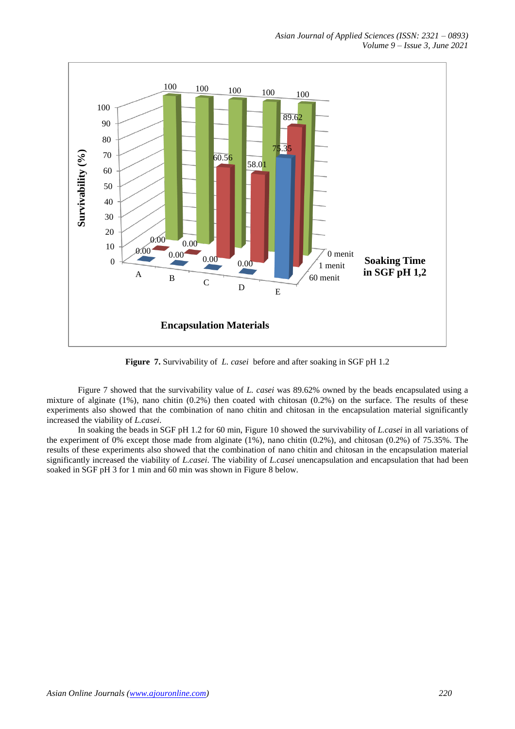

**Figure 7.** Survivability of *L. casei* before and after soaking in SGF pH 1.2

Figure 7 showed that the survivability value of *L. casei* was 89.62% owned by the beads encapsulated using a mixture of alginate (1%), nano chitin (0.2%) then coated with chitosan (0.2%) on the surface. The results of these experiments also showed that the combination of nano chitin and chitosan in the encapsulation material significantly increased the viability of *L.casei*.

In soaking the beads in SGF pH 1.2 for 60 min, Figure 10 showed the survivability of *L.casei* in all variations of the experiment of 0% except those made from alginate (1%), nano chitin (0.2%), and chitosan (0.2%) of 75.35%. The results of these experiments also showed that the combination of nano chitin and chitosan in the encapsulation material significantly increased the viability of *L.casei*. The viability of *L.casei* unencapsulation and encapsulation that had been soaked in SGF pH 3 for 1 min and 60 min was shown in Figure 8 below.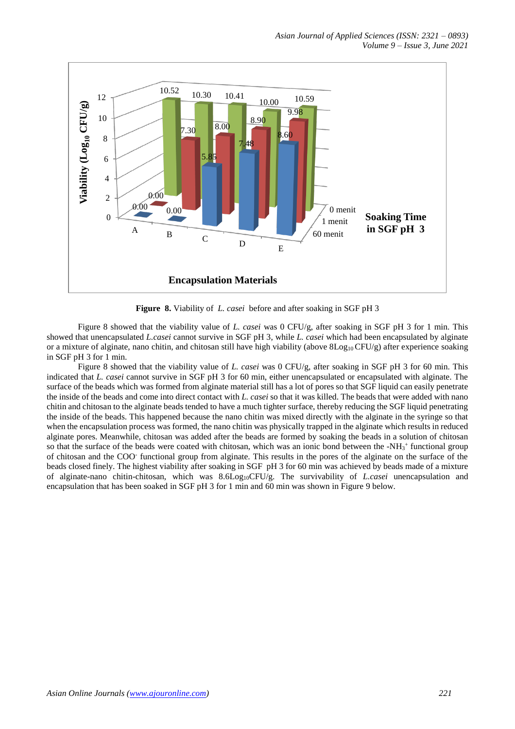

**Figure 8.** Viability of *L. casei* before and after soaking in SGF pH 3

Figure 8 showed that the viability value of *L. casei* was 0 CFU/g, after soaking in SGF pH 3 for 1 min. This showed that unencapsulated *L.casei* cannot survive in SGF pH 3, while *L. casei* which had been encapsulated by alginate or a mixture of alginate, nano chitin, and chitosan still have high viability (above  $8\text{Log}_{10}$  CFU/g) after experience soaking in SGF pH 3 for 1 min.

Figure 8 showed that the viability value of *L. casei* was 0 CFU/g, after soaking in SGF pH 3 for 60 min. This indicated that *L. casei* cannot survive in SGF pH 3 for 60 min, either unencapsulated or encapsulated with alginate. The surface of the beads which was formed from alginate material still has a lot of pores so that SGF liquid can easily penetrate the inside of the beads and come into direct contact with *L. casei* so that it was killed. The beads that were added with nano chitin and chitosan to the alginate beads tended to have a much tighter surface, thereby reducing the SGF liquid penetrating the inside of the beads. This happened because the nano chitin was mixed directly with the alginate in the syringe so that when the encapsulation process was formed, the nano chitin was physically trapped in the alginate which results in reduced alginate pores. Meanwhile, chitosan was added after the beads are formed by soaking the beads in a solution of chitosan so that the surface of the beads were coated with chitosan, which was an ionic bond between the -NH<sub>3</sub><sup>+</sup> functional group of chitosan and the COO-functional group from alginate. This results in the pores of the alginate on the surface of the beads closed finely. The highest viability after soaking in SGF pH 3 for 60 min was achieved by beads made of a mixture of alginate-nano chitin-chitosan, which was 8.6Log10CFU/g. The survivability of *L.casei* unencapsulation and encapsulation that has been soaked in SGF pH 3 for 1 min and 60 min was shown in Figure 9 below.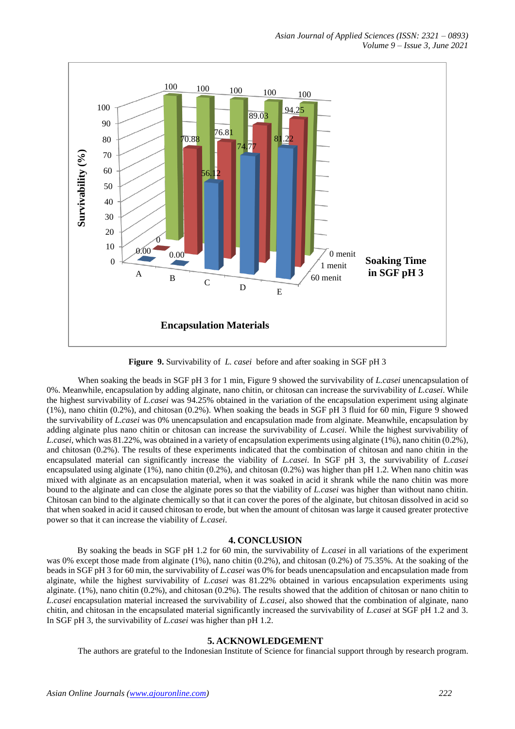

**Figure 9.** Survivability of *L. casei* before and after soaking in SGF pH 3

When soaking the beads in SGF pH 3 for 1 min, Figure 9 showed the survivability of *L.casei* unencapsulation of 0%. Meanwhile, encapsulation by adding alginate, nano chitin, or chitosan can increase the survivability of *L.casei*. While the highest survivability of *L.casei* was 94.25% obtained in the variation of the encapsulation experiment using alginate (1%), nano chitin (0.2%), and chitosan (0.2%). When soaking the beads in SGF pH 3 fluid for 60 min, Figure 9 showed the survivability of *L.casei* was 0% unencapsulation and encapsulation made from alginate. Meanwhile, encapsulation by adding alginate plus nano chitin or chitosan can increase the survivability of *L.casei*. While the highest survivability of *L.casei*, which was 81.22%, was obtained in a variety of encapsulation experiments using alginate (1%), nano chitin (0.2%), and chitosan (0.2%). The results of these experiments indicated that the combination of chitosan and nano chitin in the encapsulated material can significantly increase the viability of *L.casei*. In SGF pH 3, the survivability of *L.casei* encapsulated using alginate (1%), nano chitin (0.2%), and chitosan (0.2%) was higher than pH 1.2. When nano chitin was mixed with alginate as an encapsulation material, when it was soaked in acid it shrank while the nano chitin was more bound to the alginate and can close the alginate pores so that the viability of *L.casei* was higher than without nano chitin. Chitosan can bind to the alginate chemically so that it can cover the pores of the alginate, but chitosan dissolved in acid so that when soaked in acid it caused chitosan to erode, but when the amount of chitosan was large it caused greater protective power so that it can increase the viability of *L.casei*.

#### **4. CONCLUSION**

By soaking the beads in SGF pH 1.2 for 60 min, the survivability of *L.casei* in all variations of the experiment was 0% except those made from alginate (1%), nano chitin (0.2%), and chitosan (0.2%) of 75.35%. At the soaking of the beads in SGF pH 3 for 60 min, the survivability of *L.casei* was 0% for beads unencapsulation and encapsulation made from alginate, while the highest survivability of *L.casei* was 81.22% obtained in various encapsulation experiments using alginate. (1%), nano chitin (0.2%), and chitosan (0.2%). The results showed that the addition of chitosan or nano chitin to *L.casei* encapsulation material increased the survivability of *L.casei*, also showed that the combination of alginate, nano chitin, and chitosan in the encapsulated material significantly increased the survivability of *L.casei* at SGF pH 1.2 and 3. In SGF pH 3, the survivability of *L.casei* was higher than pH 1.2.

# **5. ACKNOWLEDGEMENT**

The authors are grateful to the Indonesian Institute of Science for financial support through by research program.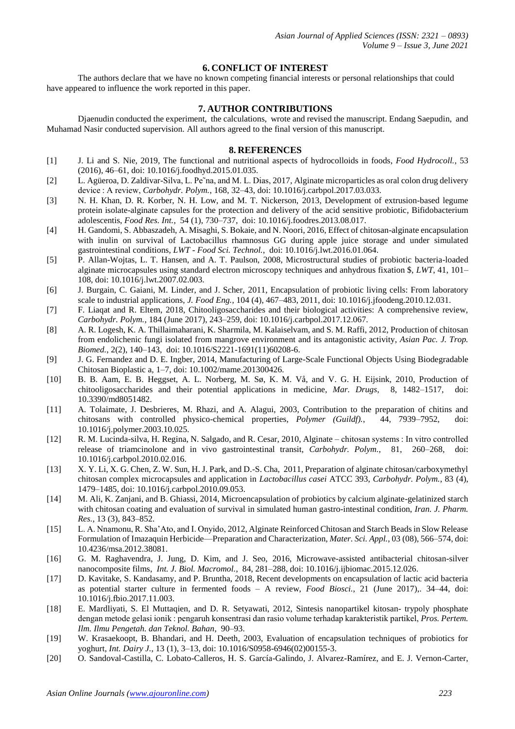# **6. CONFLICT OF INTEREST**

The authors declare that we have no known competing financial interests or personal relationships that could have appeared to influence the work reported in this paper.

# **7. AUTHOR CONTRIBUTIONS**

Djaenudin conducted the experiment, the calculations, wrote and revised the manuscript. Endang Saepudin, and Muhamad Nasir conducted supervision. All authors agreed to the final version of this manuscript.

# **8. REFERENCES**

- [1] J. Li and S. Nie, 2019, The functional and nutritional aspects of hydrocolloids in foods, *Food Hydrocoll.*, 53 (2016), 46–61, doi: 10.1016/j.foodhyd.2015.01.035.
- [2] L. Agüeroa, D. Zaldivar-Silva, L. Pe~na, and M. L. Dias, 2017, Alginate microparticles as oral colon drug delivery device : A review, *Carbohydr. Polym.*, 168, 32–43, doi: 10.1016/j.carbpol.2017.03.033.
- [3] N. H. Khan, D. R. Korber, N. H. Low, and M. T. Nickerson, 2013, Development of extrusion-based legume protein isolate-alginate capsules for the protection and delivery of the acid sensitive probiotic, Bifidobacterium adolescentis, *Food Res. Int.*, 54 (1), 730–737, doi: 10.1016/j.foodres.2013.08.017.
- [4] H. Gandomi, S. Abbaszadeh, A. Misaghi, S. Bokaie, and N. Noori, 2016, Effect of chitosan-alginate encapsulation with inulin on survival of Lactobacillus rhamnosus GG during apple juice storage and under simulated gastrointestinal conditions, *LWT - Food Sci. Technol.*, doi: 10.1016/j.lwt.2016.01.064.
- [5] P. Allan-Wojtas, L. T. Hansen, and A. T. Paulson, 2008, Microstructural studies of probiotic bacteria-loaded alginate microcapsules using standard electron microscopy techniques and anhydrous fixation \$, *LWT*, 41, 101– 108, doi: 10.1016/j.lwt.2007.02.003.
- [6] J. Burgain, C. Gaiani, M. Linder, and J. Scher, 2011, Encapsulation of probiotic living cells: From laboratory scale to industrial applications, *J. Food Eng.*, 104 (4), 467–483, 2011, doi: 10.1016/j.jfoodeng.2010.12.031.
- [7] F. Liaqat and R. Eltem, 2018, Chitooligosaccharides and their biological activities: A comprehensive review, *Carbohydr. Polym.*, 184 (June 2017), 243–259, doi: 10.1016/j.carbpol.2017.12.067.
- [8] A. R. Logesh, K. A. Thillaimaharani, K. Sharmila, M. Kalaiselvam, and S. M. Raffi, 2012, Production of chitosan from endolichenic fungi isolated from mangrove environment and its antagonistic activity, *Asian Pac. J. Trop. Biomed.*, 2(2), 140–143, doi: 10.1016/S2221-1691(11)60208-6.
- [9] J. G. Fernandez and D. E. Ingber, 2014, Manufacturing of Large-Scale Functional Objects Using Biodegradable Chitosan Bioplastic a, 1–7, doi: 10.1002/mame.201300426.
- [10] B. B. Aam, E. B. Heggset, A. L. Norberg, M. Sø, K. M. Vå, and V. G. H. Eijsink, 2010, Production of chitooligosaccharides and their potential applications in medicine, *Mar. Drugs*, 8, 1482–1517, 10.3390/md8051482.
- [11] A. Tolaimate, J. Desbrieres, M. Rhazi, and A. Alagui, 2003, Contribution to the preparation of chitins and chitosans with controlled physico-chemical properties, *Polymer (Guildf)*, 44, 7939–7952, doi: chitosans with controlled physico-chemical properties, *Polymer (Guildf).*, 44, 7939–7952, doi: 10.1016/j.polymer.2003.10.025.
- [12] R. M. Lucinda-silva, H. Regina, N. Salgado, and R. Cesar, 2010, Alginate chitosan systems : In vitro controlled release of triamcinolone and in vivo gastrointestinal transit, *Carbohydr. Polym.*, 81, 260–268, doi: 10.1016/j.carbpol.2010.02.016.
- [13] X. Y. Li, X. G. Chen, Z. W. Sun, H. J. Park, and D.-S. Cha, 2011, Preparation of alginate chitosan/carboxymethyl chitosan complex microcapsules and application in *Lactobacillus casei* ATCC 393, *Carbohydr. Polym.*, 83 (4), 1479–1485, doi: 10.1016/j.carbpol.2010.09.053.
- [14] M. Ali, K. Zanjani, and B. Ghiassi, 2014, Microencapsulation of probiotics by calcium alginate-gelatinized starch with chitosan coating and evaluation of survival in simulated human gastro-intestinal condition, *Iran. J. Pharm. Res.*, 13 (3), 843–852.
- [15] L. A. Nnamonu, R. Sha'Ato, and I. Onyido, 2012, Alginate Reinforced Chitosan and Starch Beads in Slow Release Formulation of Imazaquin Herbicide—Preparation and Characterization, *Mater. Sci. Appl.*, 03 (08), 566–574, doi: 10.4236/msa.2012.38081.
- [16] G. M. Raghavendra, J. Jung, D. Kim, and J. Seo, 2016, Microwave-assisted antibacterial chitosan-silver nanocomposite films, *Int. J. Biol. Macromol.*, 84, 281–288, doi: 10.1016/j.ijbiomac.2015.12.026.
- [17] D. Kavitake, S. Kandasamy, and P. Bruntha, 2018, Recent developments on encapsulation of lactic acid bacteria as potential starter culture in fermented foods – A review, *Food Biosci.*, 21 (June 2017),. 34–44, doi: 10.1016/j.fbio.2017.11.003.
- [18] E. Mardliyati, S. El Muttaqien, and D. R. Setyawati, 2012, Sintesis nanopartikel kitosan- trypoly phosphate dengan metode gelasi ionik : pengaruh konsentrasi dan rasio volume terhadap karakteristik partikel, *Pros. Pertem. Ilm. Ilmu Pengetah. dan Teknol. Bahan*, 90–93.
- [19] W. Krasaekoopt, B. Bhandari, and H. Deeth, 2003, Evaluation of encapsulation techniques of probiotics for yoghurt, *Int. Dairy J.*, 13 (1), 3–13, doi: 10.1016/S0958-6946(02)00155-3.
- [20] O. Sandoval-Castilla, C. Lobato-Calleros, H. S. García-Galindo, J. Alvarez-Ramírez, and E. J. Vernon-Carter,